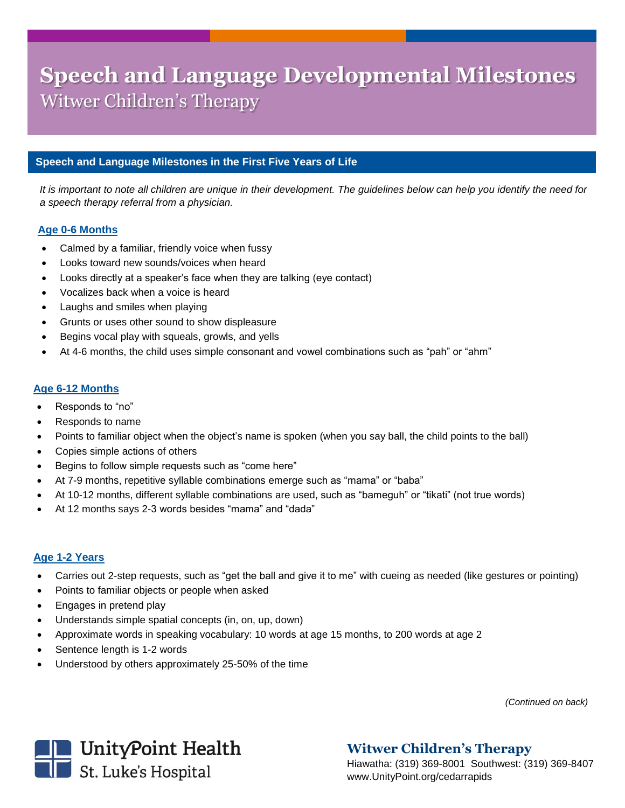# **Speech and Language Developmental Milestones** Witwer Children's Therapy

# **Speech and Language Milestones in the First Five Years of Life**

*It is important to note all children are unique in their development. The guidelines below can help you identify the need for a speech therapy referral from a physician.*

# **Age 0-6 Months**

- Calmed by a familiar, friendly voice when fussy
- Looks toward new sounds/voices when heard
- Looks directly at a speaker's face when they are talking (eye contact)
- Vocalizes back when a voice is heard
- Laughs and smiles when playing
- Grunts or uses other sound to show displeasure
- Begins vocal play with squeals, growls, and yells
- At 4-6 months, the child uses simple consonant and vowel combinations such as "pah" or "ahm"

# **Age 6-12 Months**

- Responds to "no"
- Responds to name
- Points to familiar object when the object's name is spoken (when you say ball, the child points to the ball)
- Copies simple actions of others
- Begins to follow simple requests such as "come here"
- At 7-9 months, repetitive syllable combinations emerge such as "mama" or "baba"
- At 10-12 months, different syllable combinations are used, such as "bameguh" or "tikati" (not true words)
- At 12 months says 2-3 words besides "mama" and "dada"

# **Age 1-2 Years**

- Carries out 2-step requests, such as "get the ball and give it to me" with cueing as needed (like gestures or pointing)
- Points to familiar objects or people when asked
- Engages in pretend play
- Understands simple spatial concepts (in, on, up, down)
- Approximate words in speaking vocabulary: 10 words at age 15 months, to 200 words at age 2
- Sentence length is 1-2 words
- Understood by others approximately 25-50% of the time

*(Continued on back)*



**Witwer Children's Therapy** Hiawatha: (319) 369-8001 Southwest: (319) 369-8407 www.UnityPoint.org/cedarrapids